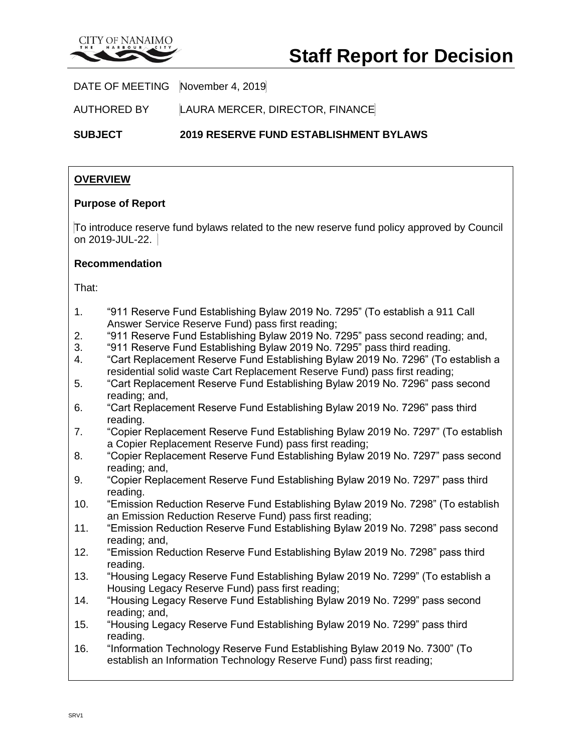

DATE OF MEETING November 4, 2019

AUTHORED BY LAURA MERCER, DIRECTOR, FINANCE

**SUBJECT 2019 RESERVE FUND ESTABLISHMENT BYLAWS**

## **OVERVIEW**

#### **Purpose of Report**

To introduce reserve fund bylaws related to the new reserve fund policy approved by Council on 2019-JUL-22.

#### **Recommendation**

That:

- 1. "911 Reserve Fund Establishing Bylaw 2019 No. 7295" (To establish a 911 Call Answer Service Reserve Fund) pass first reading;
- 2. "911 Reserve Fund Establishing Bylaw 2019 No. 7295" pass second reading; and,
- 3. "911 Reserve Fund Establishing Bylaw 2019 No. 7295" pass third reading.
- 4. "Cart Replacement Reserve Fund Establishing Bylaw 2019 No. 7296" (To establish a residential solid waste Cart Replacement Reserve Fund) pass first reading;
- 5. "Cart Replacement Reserve Fund Establishing Bylaw 2019 No. 7296" pass second reading; and,
- 6. "Cart Replacement Reserve Fund Establishing Bylaw 2019 No. 7296" pass third reading.
- 7. "Copier Replacement Reserve Fund Establishing Bylaw 2019 No. 7297" (To establish a Copier Replacement Reserve Fund) pass first reading;
- 8. "Copier Replacement Reserve Fund Establishing Bylaw 2019 No. 7297" pass second reading; and,
- 9. "Copier Replacement Reserve Fund Establishing Bylaw 2019 No. 7297" pass third reading.
- 10. "Emission Reduction Reserve Fund Establishing Bylaw 2019 No. 7298" (To establish an Emission Reduction Reserve Fund) pass first reading;
- 11. "Emission Reduction Reserve Fund Establishing Bylaw 2019 No. 7298" pass second reading; and,
- 12. "Emission Reduction Reserve Fund Establishing Bylaw 2019 No. 7298" pass third reading.
- 13. "Housing Legacy Reserve Fund Establishing Bylaw 2019 No. 7299" (To establish a Housing Legacy Reserve Fund) pass first reading;
- 14. "Housing Legacy Reserve Fund Establishing Bylaw 2019 No. 7299" pass second reading; and,
- 15. "Housing Legacy Reserve Fund Establishing Bylaw 2019 No. 7299" pass third reading.
- 16. "Information Technology Reserve Fund Establishing Bylaw 2019 No. 7300" (To establish an Information Technology Reserve Fund) pass first reading;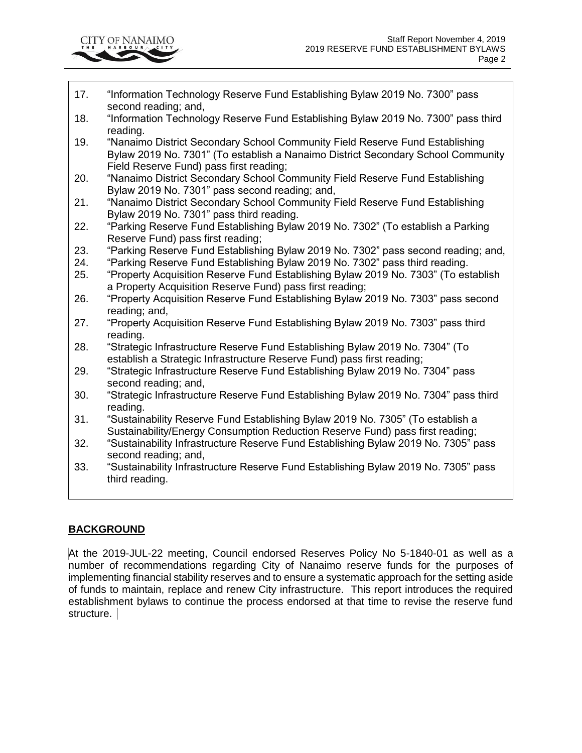

- 17. "Information Technology Reserve Fund Establishing Bylaw 2019 No. 7300" pass second reading; and,
- 18. "Information Technology Reserve Fund Establishing Bylaw 2019 No. 7300" pass third reading.
- 19. "Nanaimo District Secondary School Community Field Reserve Fund Establishing Bylaw 2019 No. 7301" (To establish a Nanaimo District Secondary School Community Field Reserve Fund) pass first reading;
- 20. "Nanaimo District Secondary School Community Field Reserve Fund Establishing Bylaw 2019 No. 7301" pass second reading; and,
- 21. "Nanaimo District Secondary School Community Field Reserve Fund Establishing Bylaw 2019 No. 7301" pass third reading.
- 22. "Parking Reserve Fund Establishing Bylaw 2019 No. 7302" (To establish a Parking Reserve Fund) pass first reading;
- 23. "Parking Reserve Fund Establishing Bylaw 2019 No. 7302" pass second reading; and,
- 24. "Parking Reserve Fund Establishing Bylaw 2019 No. 7302" pass third reading.
- 25. "Property Acquisition Reserve Fund Establishing Bylaw 2019 No. 7303" (To establish a Property Acquisition Reserve Fund) pass first reading;
- 26. "Property Acquisition Reserve Fund Establishing Bylaw 2019 No. 7303" pass second reading; and,
- 27. "Property Acquisition Reserve Fund Establishing Bylaw 2019 No. 7303" pass third reading.
- 28. "Strategic Infrastructure Reserve Fund Establishing Bylaw 2019 No. 7304" (To establish a Strategic Infrastructure Reserve Fund) pass first reading;
- 29. "Strategic Infrastructure Reserve Fund Establishing Bylaw 2019 No. 7304" pass second reading; and,
- 30. "Strategic Infrastructure Reserve Fund Establishing Bylaw 2019 No. 7304" pass third reading.
- 31. "Sustainability Reserve Fund Establishing Bylaw 2019 No. 7305" (To establish a Sustainability/Energy Consumption Reduction Reserve Fund) pass first reading;
- 32. "Sustainability Infrastructure Reserve Fund Establishing Bylaw 2019 No. 7305" pass second reading; and,
- 33. "Sustainability Infrastructure Reserve Fund Establishing Bylaw 2019 No. 7305" pass third reading.

# **BACKGROUND**

At the 2019-JUL-22 meeting, Council endorsed Reserves Policy No 5-1840-01 as well as a number of recommendations regarding City of Nanaimo reserve funds for the purposes of implementing financial stability reserves and to ensure a systematic approach for the setting aside of funds to maintain, replace and renew City infrastructure. This report introduces the required establishment bylaws to continue the process endorsed at that time to revise the reserve fund structure.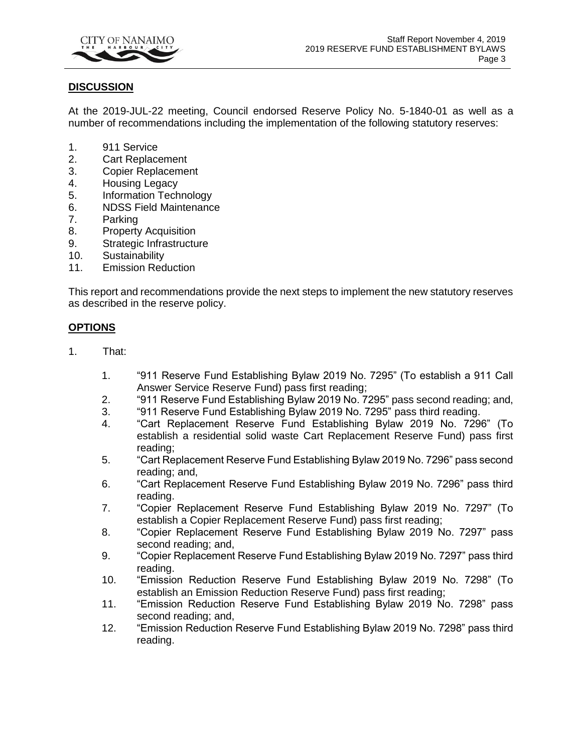

#### **DISCUSSION**

At the 2019-JUL-22 meeting, Council endorsed Reserve Policy No. 5-1840-01 as well as a number of recommendations including the implementation of the following statutory reserves:

- 1. 911 Service
- 2. Cart Replacement
- 3. Copier Replacement
- 4. Housing Legacy
- 5. Information Technology
- 6. NDSS Field Maintenance
- 7. Parking
- 8. Property Acquisition
- 9. Strategic Infrastructure
- 10. Sustainability
- 11. Emission Reduction

This report and recommendations provide the next steps to implement the new statutory reserves as described in the reserve policy.

#### **OPTIONS**

- 1. That:
	- 1. "911 Reserve Fund Establishing Bylaw 2019 No. 7295" (To establish a 911 Call Answer Service Reserve Fund) pass first reading;
	- 2. "911 Reserve Fund Establishing Bylaw 2019 No. 7295" pass second reading; and,
	- 3. "911 Reserve Fund Establishing Bylaw 2019 No. 7295" pass third reading.
	- 4. "Cart Replacement Reserve Fund Establishing Bylaw 2019 No. 7296" (To establish a residential solid waste Cart Replacement Reserve Fund) pass first reading;
	- 5. "Cart Replacement Reserve Fund Establishing Bylaw 2019 No. 7296" pass second reading; and,
	- 6. "Cart Replacement Reserve Fund Establishing Bylaw 2019 No. 7296" pass third reading.
	- 7. "Copier Replacement Reserve Fund Establishing Bylaw 2019 No. 7297" (To establish a Copier Replacement Reserve Fund) pass first reading;
	- 8. "Copier Replacement Reserve Fund Establishing Bylaw 2019 No. 7297" pass second reading; and,
	- 9. "Copier Replacement Reserve Fund Establishing Bylaw 2019 No. 7297" pass third reading.
	- 10. "Emission Reduction Reserve Fund Establishing Bylaw 2019 No. 7298" (To establish an Emission Reduction Reserve Fund) pass first reading;
	- 11. "Emission Reduction Reserve Fund Establishing Bylaw 2019 No. 7298" pass second reading; and,
	- 12. "Emission Reduction Reserve Fund Establishing Bylaw 2019 No. 7298" pass third reading.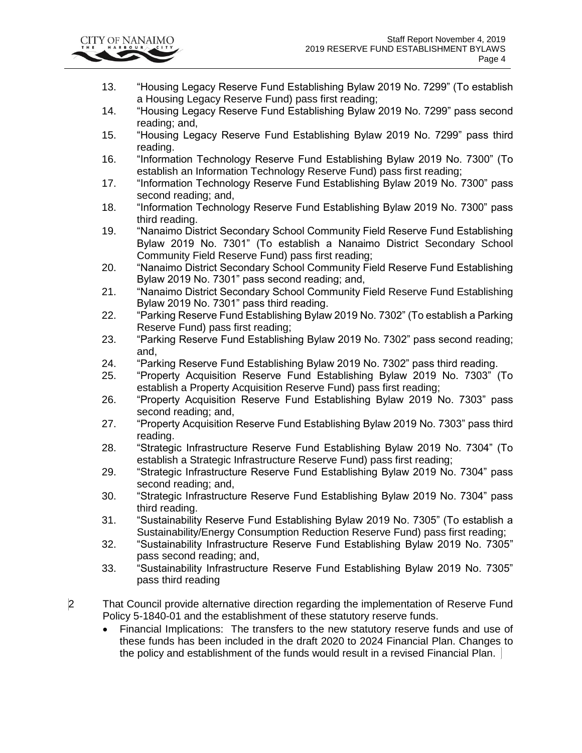

- 13. "Housing Legacy Reserve Fund Establishing Bylaw 2019 No. 7299" (To establish a Housing Legacy Reserve Fund) pass first reading;
- 14. "Housing Legacy Reserve Fund Establishing Bylaw 2019 No. 7299" pass second reading; and,
- 15. "Housing Legacy Reserve Fund Establishing Bylaw 2019 No. 7299" pass third reading.
- 16. "Information Technology Reserve Fund Establishing Bylaw 2019 No. 7300" (To establish an Information Technology Reserve Fund) pass first reading;
- 17. "Information Technology Reserve Fund Establishing Bylaw 2019 No. 7300" pass second reading; and,
- 18. "Information Technology Reserve Fund Establishing Bylaw 2019 No. 7300" pass third reading.
- 19. "Nanaimo District Secondary School Community Field Reserve Fund Establishing Bylaw 2019 No. 7301" (To establish a Nanaimo District Secondary School Community Field Reserve Fund) pass first reading;
- 20. "Nanaimo District Secondary School Community Field Reserve Fund Establishing Bylaw 2019 No. 7301" pass second reading; and,
- 21. "Nanaimo District Secondary School Community Field Reserve Fund Establishing Bylaw 2019 No. 7301" pass third reading.
- 22. "Parking Reserve Fund Establishing Bylaw 2019 No. 7302" (To establish a Parking Reserve Fund) pass first reading;
- 23. "Parking Reserve Fund Establishing Bylaw 2019 No. 7302" pass second reading; and,
- 24. "Parking Reserve Fund Establishing Bylaw 2019 No. 7302" pass third reading.
- 25. "Property Acquisition Reserve Fund Establishing Bylaw 2019 No. 7303" (To establish a Property Acquisition Reserve Fund) pass first reading;
- 26. "Property Acquisition Reserve Fund Establishing Bylaw 2019 No. 7303" pass second reading; and,
- 27. "Property Acquisition Reserve Fund Establishing Bylaw 2019 No. 7303" pass third reading.
- 28. "Strategic Infrastructure Reserve Fund Establishing Bylaw 2019 No. 7304" (To establish a Strategic Infrastructure Reserve Fund) pass first reading;
- 29. "Strategic Infrastructure Reserve Fund Establishing Bylaw 2019 No. 7304" pass second reading; and,
- 30. "Strategic Infrastructure Reserve Fund Establishing Bylaw 2019 No. 7304" pass third reading.
- 31. "Sustainability Reserve Fund Establishing Bylaw 2019 No. 7305" (To establish a Sustainability/Energy Consumption Reduction Reserve Fund) pass first reading;
- 32. "Sustainability Infrastructure Reserve Fund Establishing Bylaw 2019 No. 7305" pass second reading; and,
- 33. "Sustainability Infrastructure Reserve Fund Establishing Bylaw 2019 No. 7305" pass third reading
- 2 That Council provide alternative direction regarding the implementation of Reserve Fund Policy 5-1840-01 and the establishment of these statutory reserve funds.
	- Financial Implications: The transfers to the new statutory reserve funds and use of these funds has been included in the draft 2020 to 2024 Financial Plan. Changes to the policy and establishment of the funds would result in a revised Financial Plan.